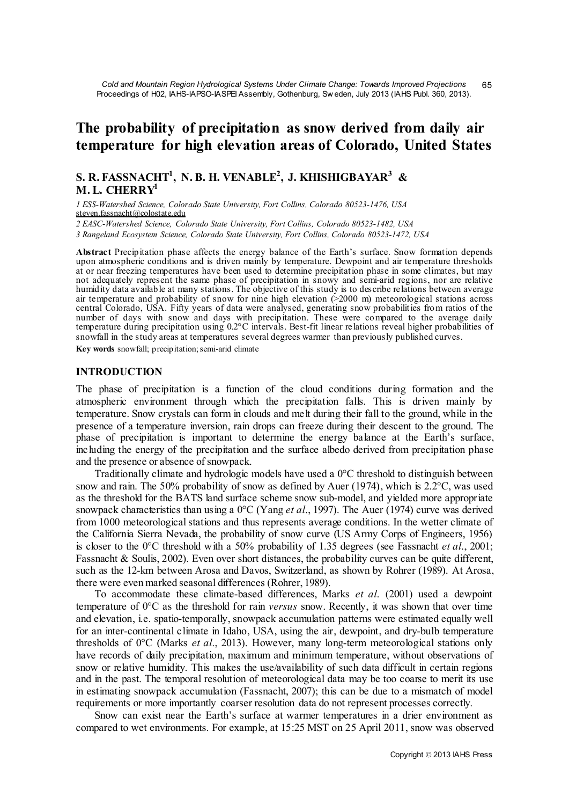# **The probability of precipitation as snow derived from daily air temperature for high elevation areas of Colorado, United States**

## **S. R. FASSNACHT1 , N. B. H. VENABLE2 , J. KHISHIGBAYAR<sup>3</sup> & M. L. CHERRY1**

*1 ESS-Watershed Science, Colorado State University, Fort Collins, Colorado 80523-1476, USA* steven.fassnacht@colostate.edu

*2 EASC-Watershed Science, Colorado State University, Fort Collins, Colorado 80523-1482, USA*

*3 Rangeland Ecosystem Science, Colorado State University, Fort Collins, Colorado 80523-1472, USA*

**Abstract** Precipitation phase affects the energy balance of the Earth's surface. Snow formation depends upon atmospheric conditions and is driven mainly by temperature. Dewpoint and air temperature thresholds at or near freezing temperatures have been used to determine precipitation phase in some climates, but may not adequately represent the same phase of precipitation in snowy and semi-arid regions, nor are relative humidity data available at many stations. The objective of this study is to describe relations between average air temperature and probability of snow for nine high elevation (>2000 m) meteorological stations across central Colorado, USA. Fifty years of data were analysed, generating snow probabilities from ratios of the number of days with snow and days with precipitation. These were compared to the average daily temperature during precipitation using 0.2°C intervals. Best-fit linear relations reveal higher probabilities of snowfall in the study areas at temperatures several degrees warmer than previously published curves.

Key words snowfall; precipitation; semi-arid climate

#### **INTRODUCTION**

The phase of precipitation is a function of the cloud conditions during formation and the atmospheric environment through which the precipitation falls. This is driven mainly by temperature. Snow crystals can form in clouds and melt during their fall to the ground, while in the presence of a temperature inversion, rain drops can freeze during their descent to the ground. The phase of precipitation is important to determine the energy balance at the Earth's surface, including the energy of the precipitation and the surface albedo derived from precipitation phase and the presence or absence of snowpack.

Traditionally climate and hydrologic models have used a 0°C threshold to distinguish between snow and rain. The 50% probability of snow as defined by Auer (1974), which is 2.2°C, was used as the threshold for the BATS land surface scheme snow sub-model, and yielded more appropriate snowpack characteristics than using a 0°C (Yang *et al*., 1997). The Auer (1974) curve was derived from 1000 meteorological stations and thus represents average conditions. In the wetter climate of the California Sierra Nevada, the probability of snow curve (US Army Corps of Engineers, 1956) is closer to the 0°C threshold with a 50% probability of 1.35 degrees (see Fassnacht *et al*., 2001; Fassnacht & Soulis, 2002). Even over short distances, the probability curves can be quite different, such as the 12-km between Arosa and Davos, Switzerland, as shown by Rohrer (1989). At Arosa, there were even marked seasonal differences (Rohrer, 1989).

To accommodate these climate-based differences, Marks *et al*. (2001) used a dewpoint temperature of 0°C as the threshold for rain *versus* snow. Recently, it was shown that over time and elevation, i.e. spatio-temporally, snowpack accumulation patterns were estimated equally well for an inter-continental climate in Idaho, USA, using the air, dewpoint, and dry-bulb temperature thresholds of 0°C (Marks *et al*., 2013). However, many long-term meteorological stations only have records of daily precipitation, maximum and minimum temperature, without observations of snow or relative humidity. This makes the use/availability of such data difficult in certain regions and in the past. The temporal resolution of meteorological data may be too coarse to merit its use in estimating snowpack accumulation (Fassnacht, 2007); this can be due to a mismatch of model requirements or more importantly coarser resolution data do not represent processes correctly.

Snow can exist near the Earth's surface at warmer temperatures in a drier environment as compared to wet environments. For example, at 15:25 MST on 25 April 2011, snow was observed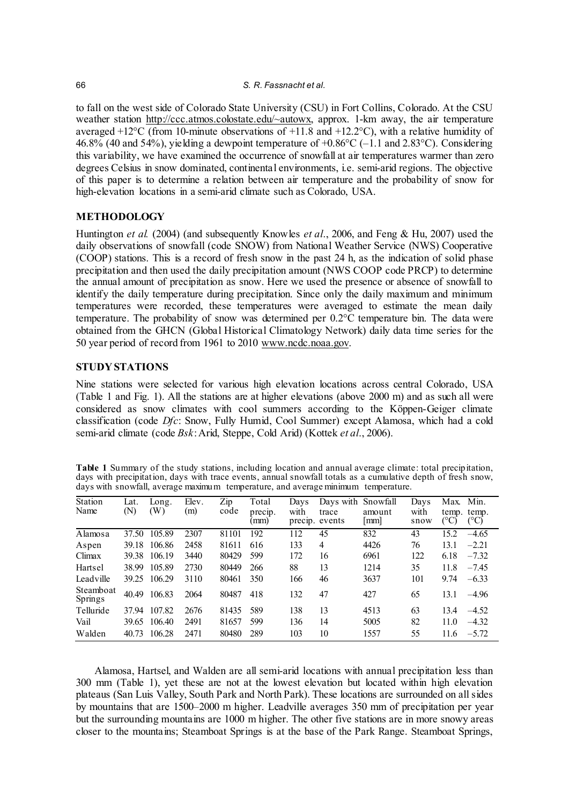to fall on the west side of Colorado State University (CSU) in Fort Collins, Colorado. At the CSU weather station http://ccc.atmos.colostate.edu/~autowx, approx. 1-km away, the air temperature averaged  $+12^{\circ}$ C (from 10-minute observations of  $+11.8$  and  $+12.2^{\circ}$ C), with a relative humidity of 46.8% (40 and 54%), yielding a dewpoint temperature of  $+0.86^{\circ}C$  (-1.1 and 2.83 $^{\circ}C$ ). Considering this variability, we have examined the occurrence of snowfall at air temperatures warmer than zero degrees Celsius in snow dominated, continental environments, i.e. semi-arid regions. The objective of this paper is to determine a relation between air temperature and the probability of snow for high-elevation locations in a semi-arid climate such as Colorado, USA.

## **METHODOLOGY**

Huntington *et al.* (2004) (and subsequently Knowles *et al*., 2006, and Feng & Hu, 2007) used the daily observations of snowfall (code SNOW) from National Weather Service (NWS) Cooperative (COOP) stations. This is a record of fresh snow in the past 24 h, as the indication of solid phase precipitation and then used the daily precipitation amount (NWS COOP code PRCP) to determine the annual amount of precipitation as snow. Here we used the presence or absence of snowfall to identify the daily temperature during precipitation. Since only the daily maximum and minimum temperatures were recorded, these temperatures were averaged to estimate the mean daily temperature. The probability of snow was determined per 0.2°C temperature bin. The data were obtained from the GHCN (Global Historical Climatology Network) daily data time series for the 50 year period of record from 1961 to 2010 www.ncdc.noaa.gov.

## **STUDY STATIONS**

Nine stations were selected for various high elevation locations across central Colorado, USA (Table 1 and Fig. 1). All the stations are at higher elevations (above 2000 m) and as such all were considered as snow climates with cool summers according to the Köppen-Geiger climate classification (code *Dfc*: Snow, Fully Humid, Cool Summer) except Alamosa, which had a cold semi-arid climate (code *Bsk*: Arid, Steppe, Cold Arid) (Kottek *et al*., 2006).

| Table 1 Summary of the study stations, including location and annual average climate: total precipitation,   |
|--------------------------------------------------------------------------------------------------------------|
| days with precipitation, days with trace events, annual snowfall totals as a cumulative depth of fresh snow, |
| days with snowfall, average maximum temperature, and average minimum temperature.                            |

| <b>Station</b><br>Name      | Lat.<br>(N) | Long.<br>(W) | Elev.<br>(m) | Zip<br>code | Total<br>precip.<br>(mm) | Days<br>with<br>precip. | Days with<br>trace<br>events | Snowfall<br>amount<br> mm | Days<br>with<br>snow | Max.<br>temp.<br>(°C) | Min.<br>temp.<br>(°C) |
|-----------------------------|-------------|--------------|--------------|-------------|--------------------------|-------------------------|------------------------------|---------------------------|----------------------|-----------------------|-----------------------|
| Alamosa                     | 37.50       | 105.89       | 2307         | 81101       | 192                      | 112                     | 45                           | 832                       | 43                   | 15.2                  | $-4.65$               |
| Aspen                       | 39.18       | 106.86       | 2458         | 81611       | 616                      | 133                     | 4                            | 4426                      | 76                   | 13.1                  | $-2.21$               |
| Climax                      | 39.38       | 106.19       | 3440         | 80429       | 599                      | 172                     | 16                           | 6961                      | 122                  | 6.18                  | $-7.32$               |
| Hartsel                     | 38.99       | 105.89       | 2730         | 80449       | 266                      | 88                      | 13                           | 1214                      | 35                   | 11.8                  | $-7.45$               |
| Leadville                   | 39.25       | 106.29       | 3110         | 80461       | 350                      | 166                     | 46                           | 3637                      | 101                  | 9.74                  | $-6.33$               |
| Steamboat<br><b>Springs</b> | 40.49       | 106.83       | 2064         | 80487       | 418                      | 132                     | 47                           | 427                       | 65                   | 13.1                  | $-4.96$               |
| Telluride                   | 37.94       | 107.82       | 2676         | 81435       | 589                      | 138                     | 13                           | 4513                      | 63                   | 13.4                  | $-4.52$               |
| Vail                        | 39.65       | 106.40       | 2491         | 81657       | 599                      | 136                     | 14                           | 5005                      | 82                   | 11.0                  | $-4.32$               |
| Walden                      | 40.73       | 106.28       | 2471         | 80480       | 289                      | 103                     | 10                           | 1557                      | 55                   | 11.6                  | $-5.72$               |

Alamosa, Hartsel, and Walden are all semi-arid locations with annual precipitation less than 300 mm (Table 1), yet these are not at the lowest elevation but located within high elevation plateaus (San Luis Valley, South Park and North Park). These locations are surrounded on all sides by mountains that are 1500–2000 m higher. Leadville averages 350 mm of precipitation per year but the surrounding mountains are 1000 m higher. The other five stations are in more snowy areas closer to the mountains; Steamboat Springs is at the base of the Park Range. Steamboat Springs,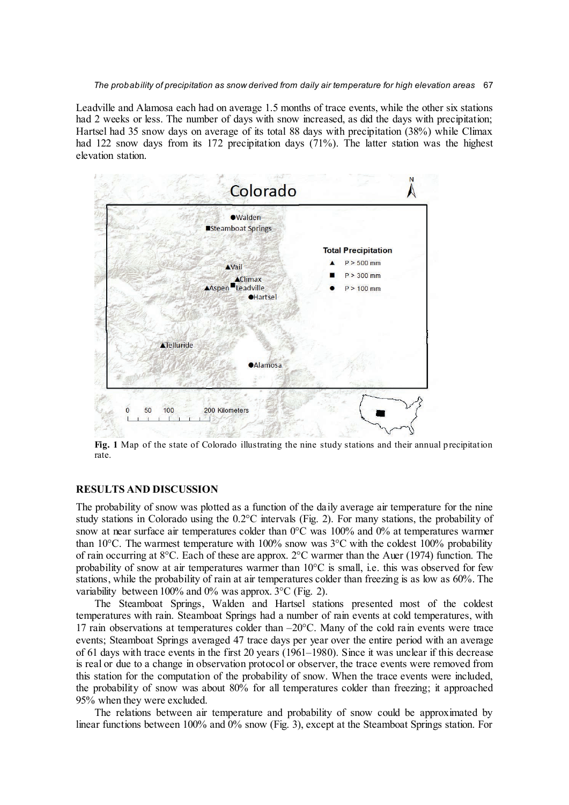*The probability of precipitation as snow derived from daily air temperature for high elevation areas* 67

Leadville and Alamosa each had on average 1.5 months of trace events, while the other six stations had 2 weeks or less. The number of days with snow increased, as did the days with precipitation; Hartsel had 35 snow days on average of its total 88 days with precipitation (38%) while Climax had 122 snow days from its 172 precipitation days (71%). The latter station was the highest elevation station.



**Fig. 1** Map of the state of Colorado illustrating the nine study stations and their annual precipitation rate.

## **RESULTS AND DISCUSSION**

The probability of snow was plotted as a function of the daily average air temperature for the nine study stations in Colorado using the 0.2°C intervals (Fig. 2). For many stations, the probability of snow at near surface air temperatures colder than 0°C was 100% and 0% at temperatures warmer than 10 $^{\circ}$ C. The warmest temperature with 100% snow was 3 $^{\circ}$ C with the coldest 100% probability of rain occurring at 8°C. Each of these are approx. 2°C warmer than the Auer (1974) function. The probability of snow at air temperatures warmer than  $10^{\circ}$ C is small, i.e. this was observed for few stations, while the probability of rain at air temperatures colder than freezing is as low as 60%. The variability between 100% and 0% was approx. 3°C (Fig. 2).

The Steamboat Springs, Walden and Hartsel stations presented most of the coldest temperatures with rain. Steamboat Springs had a number of rain events at cold temperatures, with 17 rain observations at temperatures colder than –20°C. Many of the cold rain events were trace events; Steamboat Springs averaged 47 trace days per year over the entire period with an average of 61 days with trace events in the first 20 years (1961–1980). Since it was unclear if this decrease is real or due to a change in observation protocol or observer, the trace events were removed from this station for the computation of the probability of snow. When the trace events were included, the probability of snow was about 80% for all temperatures colder than freezing; it approached 95% when they were excluded.

The relations between air temperature and probability of snow could be approximated by linear functions between 100% and 0% snow (Fig. 3), except at the Steamboat Springs station. For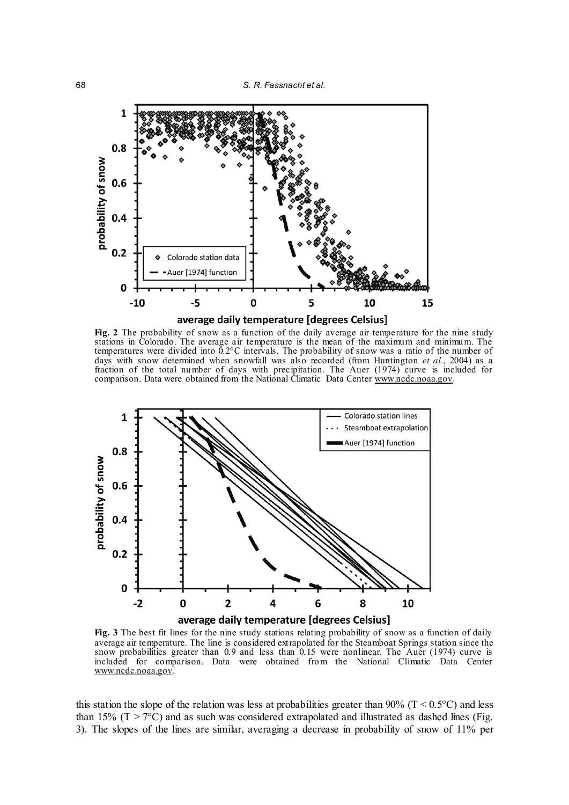



**Fig. 2** The probability of snow as a function of the daily average air temperature for the nine study stations in Colorado. The average air temperature is the mean of the maximum and minimum. The temperatures were divided into  $0.2$ °C intervals. The probability of snow was a ratio of the number of days with snow determined when snowfall was also recorded (from Huntington *et al.*, 2004) as a fraction of the total number of days with precipitation. The Auer (1974) curve is included for comparison. Data were obtained from the National Climatic Data Center www.ncdc.noaa.gov.



**Fig. 3** The best fit lines for the nine study stations relating probability of snow as a function of daily average air temperature. The line is considered extrapolated for the Steamboat Springs station since the snow probabilities greater than 0.9 and less than 0.15 were nonlinear. The Auer (1974) curve is included for comparison. Data were obtained from the National Climatic Data Center www.ncdc.noaa.gov.

this station the slope of the relation was less at probabilities greater than 90% ( $T < 0.5$ °C) and less than 15% ( $T > 7$ °C) and as such was considered extrapolated and illustrated as dashed lines (Fig. 3). The slopes of the lines are similar, averaging a decrease in probability of snow of 11% per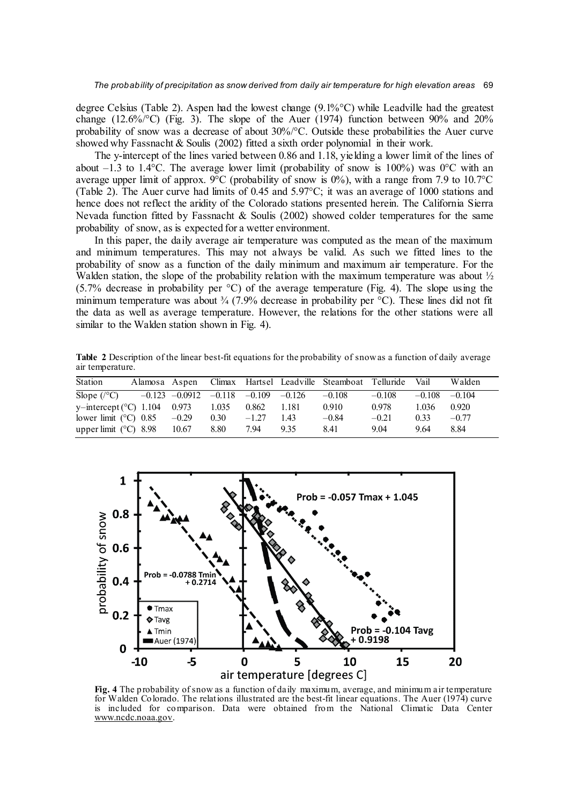degree Celsius (Table 2). Aspen had the lowest change (9.1%°C) while Leadville had the greatest change (12.6%/°C) (Fig. 3). The slope of the Auer (1974) function between 90% and 20% probability of snow was a decrease of about 30%/°C. Outside these probabilities the Auer curve showed why Fassnacht & Soulis (2002) fitted a sixth order polynomial in their work.

The y-intercept of the lines varied between 0.86 and 1.18, yielding a lower limit of the lines of about  $-1.3$  to 1.4°C. The average lower limit (probability of snow is 100%) was 0°C with an average upper limit of approx. 9°C (probability of snow is  $0\%$ ), with a range from 7.9 to 10.7°C (Table 2). The Auer curve had limits of 0.45 and 5.97°C; it was an average of 1000 stations and hence does not reflect the aridity of the Colorado stations presented herein. The California Sierra Nevada function fitted by Fassnacht & Soulis (2002) showed colder temperatures for the same probability of snow, as is expected for a wetter environment.

In this paper, the daily average air temperature was computed as the mean of the maximum and minimum temperatures. This may not always be valid. As such we fitted lines to the probability of snow as a function of the daily minimum and maximum air temperature. For the Walden station, the slope of the probability relation with the maximum temperature was about  $\frac{1}{2}$ (5.7% decrease in probability per °C) of the average temperature (Fig. 4). The slope using the minimum temperature was about  $\frac{3}{4}$  (7.9% decrease in probability per °C). These lines did not fit the data as well as average temperature. However, the relations for the other stations were all similar to the Walden station shown in Fig. 4).

**Table 2** Description of the linear best-fit equations for the probability of snow as a function of daily average air temperature.

| Station                               |                                               |                   |             |     | Alamosa Aspen Climax Hartsel Leadville Steamboat Telluride Vail |          |                   | Walden  |
|---------------------------------------|-----------------------------------------------|-------------------|-------------|-----|-----------------------------------------------------------------|----------|-------------------|---------|
| Slope $(\sqrt{\circ}C)$               | $-0.123$ $-0.0912$ $-0.118$ $-0.109$ $-0.126$ |                   |             |     | $-0.108$                                                        | $-0.108$ | $-0.108$ $-0.104$ |         |
| y-intercept $(^{\circ}C)$ 1.104 0.973 |                                               | 1.035             | 0.862 1.181 |     | 0.910                                                           | 0.978    | 1.036             | 0.920   |
| lower limit ( $\degree$ C) 0.85 -0.29 |                                               | 0.30 <sub>1</sub> | $-1.27$     | 143 | $-0.84$                                                         | $-0.21$  | 0.33              | $-0.77$ |
| upper limit $(^{\circ}C)$ 8.98        | 10.67                                         | 8.80              | 7.94        | 935 | 841                                                             | 9.04     | 964               | 884     |



**Fig. 4** The probability of snow as a function of daily maximum, average, and minimum air temperature for Walden Colorado. The relations illustrated are the best-fit linear equations. The Auer (1974) curve is included for comparison. Data were obtained from the National Climatic Data Center www.ncdc.noaa.gov.